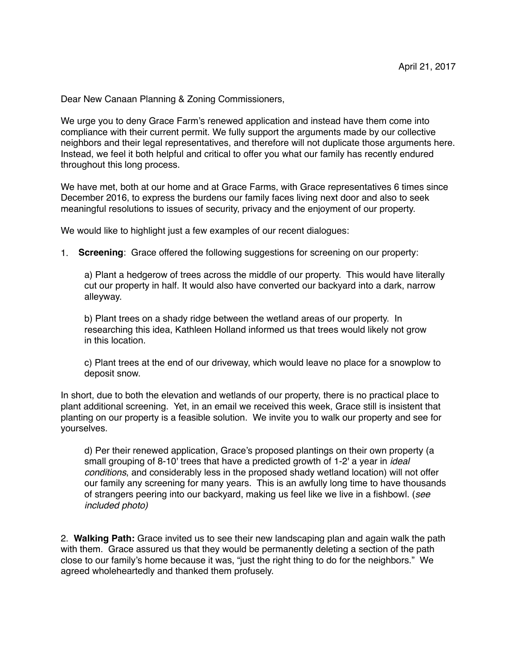Dear New Canaan Planning & Zoning Commissioners,

We urge you to deny Grace Farm's renewed application and instead have them come into compliance with their current permit. We fully support the arguments made by our collective neighbors and their legal representatives, and therefore will not duplicate those arguments here. Instead, we feel it both helpful and critical to offer you what our family has recently endured throughout this long process.

We have met, both at our home and at Grace Farms, with Grace representatives 6 times since December 2016, to express the burdens our family faces living next door and also to seek meaningful resolutions to issues of security, privacy and the enjoyment of our property.

We would like to highlight just a few examples of our recent dialogues:

1. **Screening**: Grace offered the following suggestions for screening on our property:

a) Plant a hedgerow of trees across the middle of our property. This would have literally cut our property in half. It would also have converted our backyard into a dark, narrow alleyway.

b) Plant trees on a shady ridge between the wetland areas of our property. In researching this idea, Kathleen Holland informed us that trees would likely not grow in this location.

c) Plant trees at the end of our driveway, which would leave no place for a snowplow to deposit snow.

In short, due to both the elevation and wetlands of our property, there is no practical place to plant additional screening. Yet, in an email we received this week, Grace still is insistent that planting on our property is a feasible solution. We invite you to walk our property and see for yourselves.

d) Per their renewed application, Grace's proposed plantings on their own property (a small grouping of 8-10' trees that have a predicted growth of 1-2' a year in *ideal conditions*, and considerably less in the proposed shady wetland location) will not offer our family any screening for many years. This is an awfully long time to have thousands of strangers peering into our backyard, making us feel like we live in a fishbowl. (*see included photo)* 

2. **Walking Path:** Grace invited us to see their new landscaping plan and again walk the path with them. Grace assured us that they would be permanently deleting a section of the path close to our family's home because it was, "just the right thing to do for the neighbors." We agreed wholeheartedly and thanked them profusely.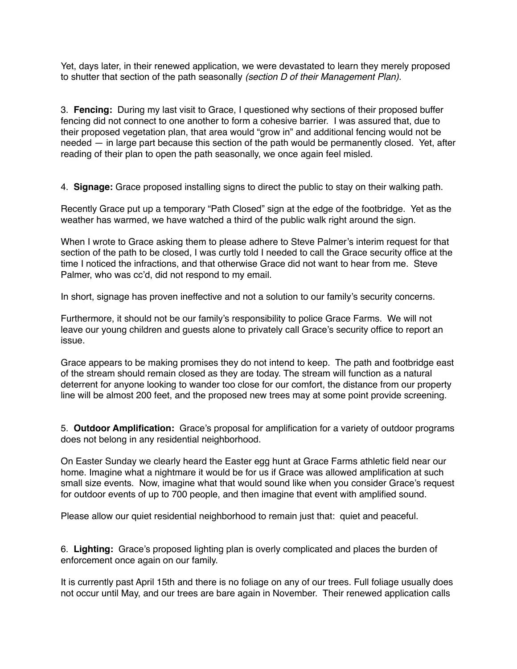Yet, days later, in their renewed application, we were devastated to learn they merely proposed to shutter that section of the path seasonally *(section D of their Management Plan).*

3. **Fencing:** During my last visit to Grace, I questioned why sections of their proposed buffer fencing did not connect to one another to form a cohesive barrier. I was assured that, due to their proposed vegetation plan, that area would "grow in" and additional fencing would not be needed — in large part because this section of the path would be permanently closed. Yet, after reading of their plan to open the path seasonally, we once again feel misled.

4. **Signage:** Grace proposed installing signs to direct the public to stay on their walking path.

Recently Grace put up a temporary "Path Closed" sign at the edge of the footbridge. Yet as the weather has warmed, we have watched a third of the public walk right around the sign.

When I wrote to Grace asking them to please adhere to Steve Palmer's interim request for that section of the path to be closed, I was curtly told I needed to call the Grace security office at the time I noticed the infractions, and that otherwise Grace did not want to hear from me. Steve Palmer, who was cc'd, did not respond to my email.

In short, signage has proven ineffective and not a solution to our family's security concerns.

Furthermore, it should not be our family's responsibility to police Grace Farms. We will not leave our young children and guests alone to privately call Grace's security office to report an issue.

Grace appears to be making promises they do not intend to keep. The path and footbridge east of the stream should remain closed as they are today. The stream will function as a natural deterrent for anyone looking to wander too close for our comfort, the distance from our property line will be almost 200 feet, and the proposed new trees may at some point provide screening.

5. **Outdoor Amplification:** Grace's proposal for amplification for a variety of outdoor programs does not belong in any residential neighborhood.

On Easter Sunday we clearly heard the Easter egg hunt at Grace Farms athletic field near our home. Imagine what a nightmare it would be for us if Grace was allowed amplification at such small size events. Now, imagine what that would sound like when you consider Grace's request for outdoor events of up to 700 people, and then imagine that event with amplified sound.

Please allow our quiet residential neighborhood to remain just that: quiet and peaceful.

6. **Lighting:** Grace's proposed lighting plan is overly complicated and places the burden of enforcement once again on our family.

It is currently past April 15th and there is no foliage on any of our trees. Full foliage usually does not occur until May, and our trees are bare again in November. Their renewed application calls